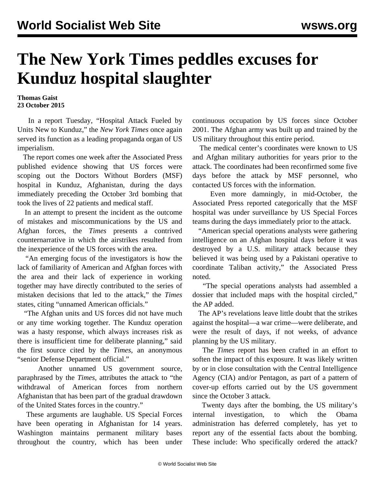## **The New York Times peddles excuses for Kunduz hospital slaughter**

## **Thomas Gaist 23 October 2015**

 In a report Tuesday, "Hospital Attack Fueled by Units New to Kunduz," the *New York Times* once again served its function as a leading propaganda organ of US imperialism.

 The report comes one week after the Associated Press published evidence showing that US forces were scoping out the Doctors Without Borders (MSF) hospital in Kunduz, Afghanistan, during the days immediately preceding the October 3rd bombing that took the lives of 22 patients and medical staff.

 In an attempt to present the incident as the outcome of mistakes and miscommunications by the US and Afghan forces, the *Times* presents a contrived counternarrative in which the airstrikes resulted from the inexperience of the US forces with the area.

 "An emerging focus of the investigators is how the lack of familiarity of American and Afghan forces with the area and their lack of experience in working together may have directly contributed to the series of mistaken decisions that led to the attack," the *Times* states, citing "unnamed American officials."

 "The Afghan units and US forces did not have much or any time working together. The Kunduz operation was a hasty response, which always increases risk as there is insufficient time for deliberate planning," said the first source cited by the *Times*, an anonymous "senior Defense Department official."

 Another unnamed US government source, paraphrased by the *Times*, attributes the attack to "the withdrawal of American forces from northern Afghanistan that has been part of the gradual drawdown of the United States forces in the country."

 These arguments are laughable. US Special Forces have been operating in Afghanistan for 14 years. Washington maintains permanent military bases throughout the country, which has been under continuous occupation by US forces since October 2001. The Afghan army was built up and trained by the US military throughout this entire period.

 The medical center's coordinates were known to US and Afghan military authorities for years prior to the attack. The coordinates had been reconfirmed some five days before the attack by MSF personnel, who contacted US forces with the information.

 Even more damningly, in mid-October, the Associated Press reported categorically that the MSF hospital was under surveillance by US Special Forces teams during the days immediately prior to the attack.

 "American special operations analysts were gathering intelligence on an Afghan hospital days before it was destroyed by a U.S. military attack because they believed it was being used by a Pakistani operative to coordinate Taliban activity," the Associated Press noted.

 "The special operations analysts had assembled a dossier that included maps with the hospital circled," the AP added.

 The AP's revelations leave little doubt that the strikes against the hospital—a war crime—were deliberate, and were the result of days, if not weeks, of advance planning by the US military.

 The *Times* report has been crafted in an effort to soften the impact of this exposure. It was likely written by or in close consultation with the Central Intelligence Agency (CIA) and/or Pentagon, as part of a pattern of cover-up efforts carried out by the US government since the October 3 attack.

 Twenty days after the bombing, the US military's internal investigation, to which the Obama administration has deferred completely, has yet to report any of the essential facts about the bombing. These include: Who specifically ordered the attack?